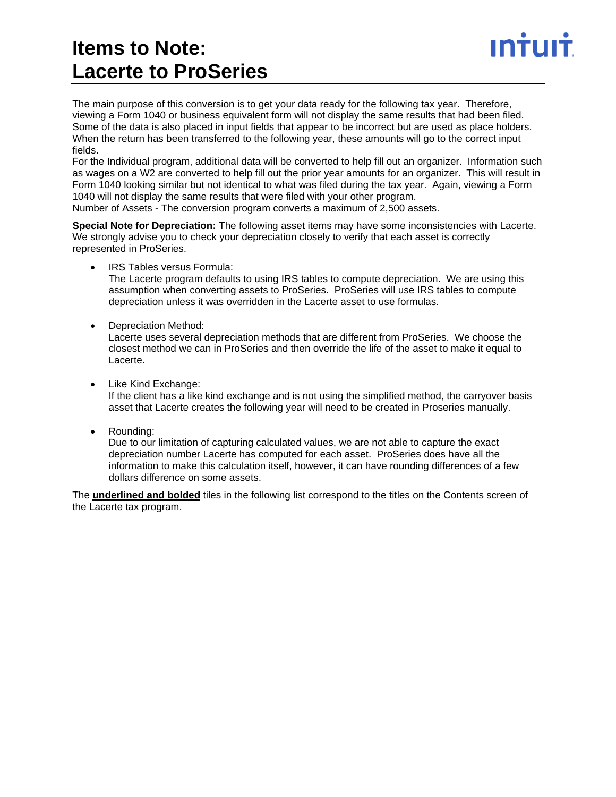# **Items to Note: Lacerte to ProSeries**

The main purpose of this conversion is to get your data ready for the following tax year. Therefore, viewing a Form 1040 or business equivalent form will not display the same results that had been filed. Some of the data is also placed in input fields that appear to be incorrect but are used as place holders. When the return has been transferred to the following year, these amounts will go to the correct input fields.

For the Individual program, additional data will be converted to help fill out an organizer. Information such as wages on a W2 are converted to help fill out the prior year amounts for an organizer. This will result in Form 1040 looking similar but not identical to what was filed during the tax year. Again, viewing a Form 1040 will not display the same results that were filed with your other program. Number of Assets - The conversion program converts a maximum of 2,500 assets.

**Special Note for Depreciation:** The following asset items may have some inconsistencies with Lacerte. We strongly advise you to check your depreciation closely to verify that each asset is correctly represented in ProSeries.

• IRS Tables versus Formula:

The Lacerte program defaults to using IRS tables to compute depreciation. We are using this assumption when converting assets to ProSeries. ProSeries will use IRS tables to compute depreciation unless it was overridden in the Lacerte asset to use formulas.

• Depreciation Method:

Lacerte uses several depreciation methods that are different from ProSeries. We choose the closest method we can in ProSeries and then override the life of the asset to make it equal to Lacerte.

• Like Kind Exchange:

If the client has a like kind exchange and is not using the simplified method, the carryover basis asset that Lacerte creates the following year will need to be created in Proseries manually.

• Rounding:

Due to our limitation of capturing calculated values, we are not able to capture the exact depreciation number Lacerte has computed for each asset. ProSeries does have all the information to make this calculation itself, however, it can have rounding differences of a few dollars difference on some assets.

The **underlined and bolded** tiles in the following list correspond to the titles on the Contents screen of the Lacerte tax program.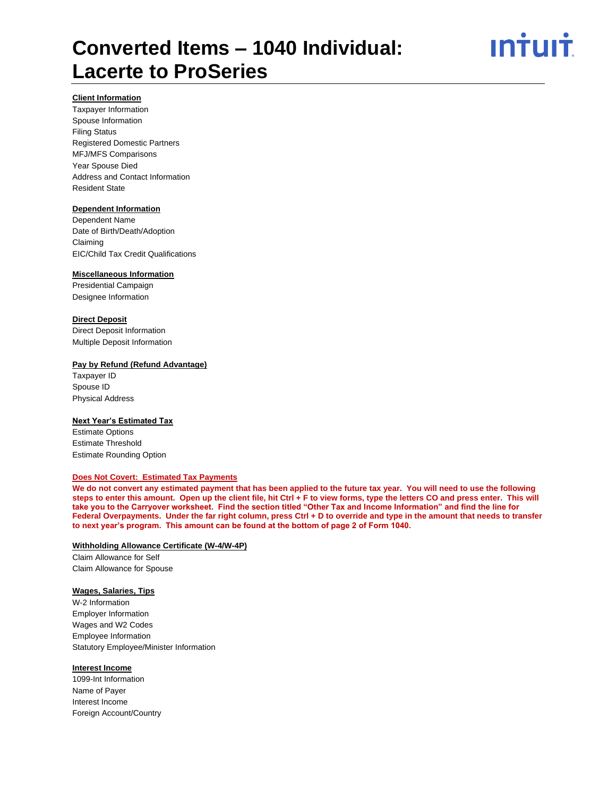

# **Client Information**

Taxpayer Information Spouse Information Filing Status Registered Domestic Partners MFJ/MFS Comparisons Year Spouse Died Address and Contact Information Resident State

## **Dependent Information**

Dependent Name Date of Birth/Death/Adoption Claiming EIC/Child Tax Credit Qualifications

### **Miscellaneous Information**

Presidential Campaign Designee Information

### **Direct Deposit**

Direct Deposit Information Multiple Deposit Information

# **Pay by Refund (Refund Advantage)**

Taxpayer ID Spouse ID Physical Address

# **Next Year's Estimated Tax**

Estimate Options Estimate Threshold Estimate Rounding Option

### **Does Not Covert: Estimated Tax Payments**

**We do not convert any estimated payment that has been applied to the future tax year. You will need to use the following steps to enter this amount. Open up the client file, hit Ctrl + F to view forms, type the letters CO and press enter. This will take you to the Carryover worksheet. Find the section titled "Other Tax and Income Information" and find the line for Federal Overpayments. Under the far right column, press Ctrl + D to override and type in the amount that needs to transfer to next year's program. This amount can be found at the bottom of page 2 of Form 1040.**

#### **Withholding Allowance Certificate (W-4/W-4P)**

Claim Allowance for Self Claim Allowance for Spouse

# **Wages, Salaries, Tips**

W-2 Information Employer Information Wages and W2 Codes Employee Information Statutory Employee/Minister Information

#### **Interest Income**

1099-Int Information Name of Payer Interest Income Foreign Account/Country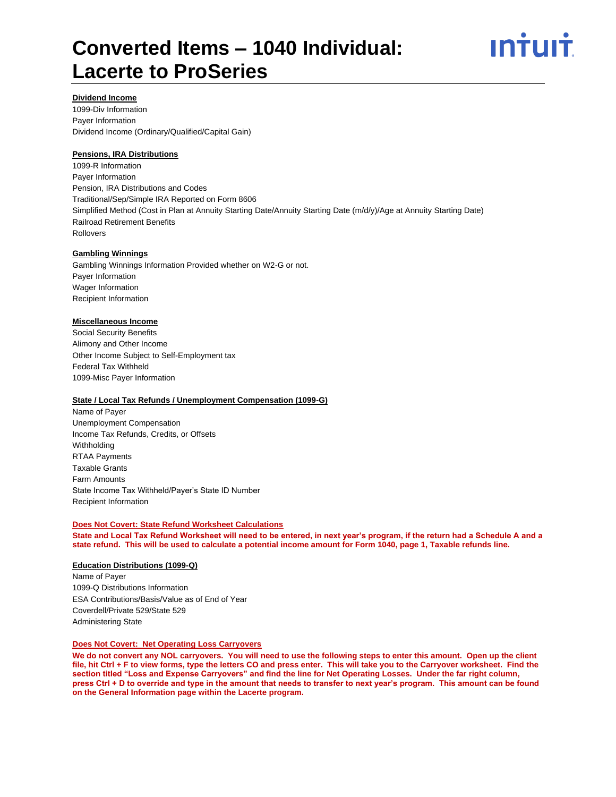

### **Dividend Income**

1099-Div Information Payer Information Dividend Income (Ordinary/Qualified/Capital Gain)

### **Pensions, IRA Distributions**

1099-R Information Payer Information Pension, IRA Distributions and Codes Traditional/Sep/Simple IRA Reported on Form 8606 Simplified Method (Cost in Plan at Annuity Starting Date/Annuity Starting Date (m/d/y)/Age at Annuity Starting Date) Railroad Retirement Benefits Rollovers

# **Gambling Winnings**

Gambling Winnings Information Provided whether on W2-G or not. Payer Information Wager Information Recipient Information

# **Miscellaneous Income**

Social Security Benefits Alimony and Other Income Other Income Subject to Self-Employment tax Federal Tax Withheld 1099-Misc Payer Information

#### **State / Local Tax Refunds / Unemployment Compensation (1099-G)**

Name of Payer Unemployment Compensation Income Tax Refunds, Credits, or Offsets Withholding RTAA Payments Taxable Grants Farm Amounts State Income Tax Withheld/Payer's State ID Number Recipient Information

#### **Does Not Covert: State Refund Worksheet Calculations**

**State and Local Tax Refund Worksheet will need to be entered, in next year's program, if the return had a Schedule A and a state refund. This will be used to calculate a potential income amount for Form 1040, page 1, Taxable refunds line.**

#### **Education Distributions (1099-Q)**

Name of Payer 1099-Q Distributions Information ESA Contributions/Basis/Value as of End of Year Coverdell/Private 529/State 529 Administering State

#### **Does Not Covert: Net Operating Loss Carryovers**

**We do not convert any NOL carryovers. You will need to use the following steps to enter this amount. Open up the client file, hit Ctrl + F to view forms, type the letters CO and press enter. This will take you to the Carryover worksheet. Find the section titled "Loss and Expense Carryovers" and find the line for Net Operating Losses. Under the far right column, press Ctrl + D to override and type in the amount that needs to transfer to next year's program. This amount can be found on the General Information page within the Lacerte program.**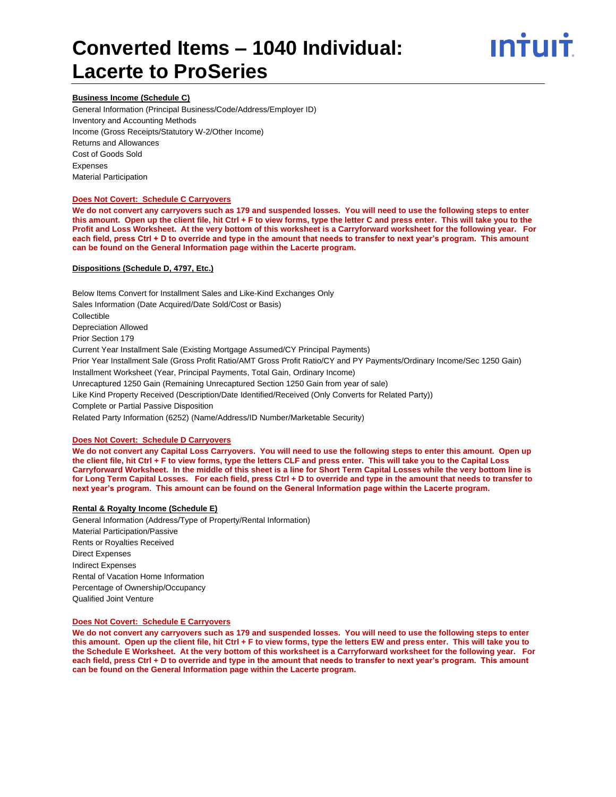

### **Business Income (Schedule C)**

General Information (Principal Business/Code/Address/Employer ID) Inventory and Accounting Methods Income (Gross Receipts/Statutory W-2/Other Income) Returns and Allowances Cost of Goods Sold **Expenses** Material Participation

#### **Does Not Covert: Schedule C Carryovers**

**We do not convert any carryovers such as 179 and suspended losses. You will need to use the following steps to enter this amount. Open up the client file, hit Ctrl + F to view forms, type the letter C and press enter. This will take you to the Profit and Loss Worksheet. At the very bottom of this worksheet is a Carryforward worksheet for the following year. For each field, press Ctrl + D to override and type in the amount that needs to transfer to next year's program. This amount can be found on the General Information page within the Lacerte program.**

#### **Dispositions (Schedule D, 4797, Etc.)**

Below Items Convert for Installment Sales and Like-Kind Exchanges Only Sales Information (Date Acquired/Date Sold/Cost or Basis) Collectible Depreciation Allowed Prior Section 179 Current Year Installment Sale (Existing Mortgage Assumed/CY Principal Payments) Prior Year Installment Sale (Gross Profit Ratio/AMT Gross Profit Ratio/CY and PY Payments/Ordinary Income/Sec 1250 Gain) Installment Worksheet (Year, Principal Payments, Total Gain, Ordinary Income) Unrecaptured 1250 Gain (Remaining Unrecaptured Section 1250 Gain from year of sale) Like Kind Property Received (Description/Date Identified/Received (Only Converts for Related Party)) Complete or Partial Passive Disposition Related Party Information (6252) (Name/Address/ID Number/Marketable Security)

#### **Does Not Covert: Schedule D Carryovers**

**We do not convert any Capital Loss Carryovers. You will need to use the following steps to enter this amount. Open up the client file, hit Ctrl + F to view forms, type the letters CLF and press enter. This will take you to the Capital Loss Carryforward Worksheet. In the middle of this sheet is a line for Short Term Capital Losses while the very bottom line is for Long Term Capital Losses. For each field, press Ctrl + D to override and type in the amount that needs to transfer to next year's program. This amount can be found on the General Information page within the Lacerte program.**

#### **Rental & Royalty Income (Schedule E)**

General Information (Address/Type of Property/Rental Information) Material Participation/Passive Rents or Royalties Received Direct Expenses Indirect Expenses Rental of Vacation Home Information Percentage of Ownership/Occupancy Qualified Joint Venture

#### **Does Not Covert: Schedule E Carryovers**

**We do not convert any carryovers such as 179 and suspended losses. You will need to use the following steps to enter this amount. Open up the client file, hit Ctrl + F to view forms, type the letters EW and press enter. This will take you to the Schedule E Worksheet. At the very bottom of this worksheet is a Carryforward worksheet for the following year. For each field, press Ctrl + D to override and type in the amount that needs to transfer to next year's program. This amount can be found on the General Information page within the Lacerte program.**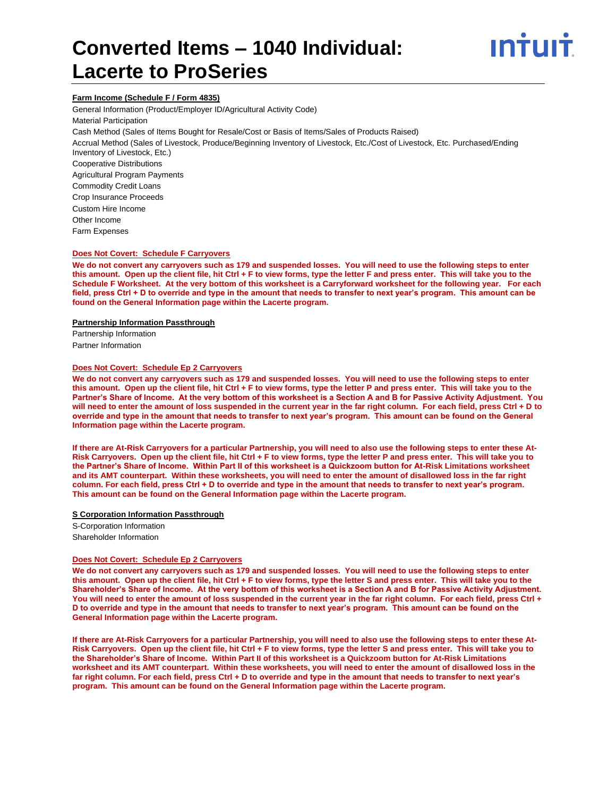#### **Farm Income (Schedule F / Form 4835)**

General Information (Product/Employer ID/Agricultural Activity Code) Material Participation Cash Method (Sales of Items Bought for Resale/Cost or Basis of Items/Sales of Products Raised) Accrual Method (Sales of Livestock, Produce/Beginning Inventory of Livestock, Etc./Cost of Livestock, Etc. Purchased/Ending Inventory of Livestock, Etc.) Cooperative Distributions Agricultural Program Payments Commodity Credit Loans Crop Insurance Proceeds Custom Hire Income Other Income Farm Expenses

#### **Does Not Covert: Schedule F Carryovers**

**We do not convert any carryovers such as 179 and suspended losses. You will need to use the following steps to enter this amount. Open up the client file, hit Ctrl + F to view forms, type the letter F and press enter. This will take you to the Schedule F Worksheet. At the very bottom of this worksheet is a Carryforward worksheet for the following year. For each field, press Ctrl + D to override and type in the amount that needs to transfer to next year's program. This amount can be found on the General Information page within the Lacerte program.**

#### **Partnership Information Passthrough**

Partnership Information Partner Information

### **Does Not Covert: Schedule Ep 2 Carryovers**

**We do not convert any carryovers such as 179 and suspended losses. You will need to use the following steps to enter this amount. Open up the client file, hit Ctrl + F to view forms, type the letter P and press enter. This will take you to the Partner's Share of Income. At the very bottom of this worksheet is a Section A and B for Passive Activity Adjustment. You will need to enter the amount of loss suspended in the current year in the far right column. For each field, press Ctrl + D to override and type in the amount that needs to transfer to next year's program. This amount can be found on the General Information page within the Lacerte program.**

**If there are At-Risk Carryovers for a particular Partnership, you will need to also use the following steps to enter these At-Risk Carryovers. Open up the client file, hit Ctrl + F to view forms, type the letter P and press enter. This will take you to the Partner's Share of Income. Within Part II of this worksheet is a Quickzoom button for At-Risk Limitations worksheet and its AMT counterpart. Within these worksheets, you will need to enter the amount of disallowed loss in the far right column. For each field, press Ctrl + D to override and type in the amount that needs to transfer to next year's program. This amount can be found on the General Information page within the Lacerte program.**

#### **S Corporation Information Passthrough**

S-Corporation Information Shareholder Information

#### **Does Not Covert: Schedule Ep 2 Carryovers**

**We do not convert any carryovers such as 179 and suspended losses. You will need to use the following steps to enter this amount. Open up the client file, hit Ctrl + F to view forms, type the letter S and press enter. This will take you to the Shareholder's Share of Income. At the very bottom of this worksheet is a Section A and B for Passive Activity Adjustment. You will need to enter the amount of loss suspended in the current year in the far right column. For each field, press Ctrl + D to override and type in the amount that needs to transfer to next year's program. This amount can be found on the General Information page within the Lacerte program.**

**If there are At-Risk Carryovers for a particular Partnership, you will need to also use the following steps to enter these At-Risk Carryovers. Open up the client file, hit Ctrl + F to view forms, type the letter S and press enter. This will take you to the Shareholder's Share of Income. Within Part II of this worksheet is a Quickzoom button for At-Risk Limitations worksheet and its AMT counterpart. Within these worksheets, you will need to enter the amount of disallowed loss in the far right column. For each field, press Ctrl + D to override and type in the amount that needs to transfer to next year's program. This amount can be found on the General Information page within the Lacerte program.**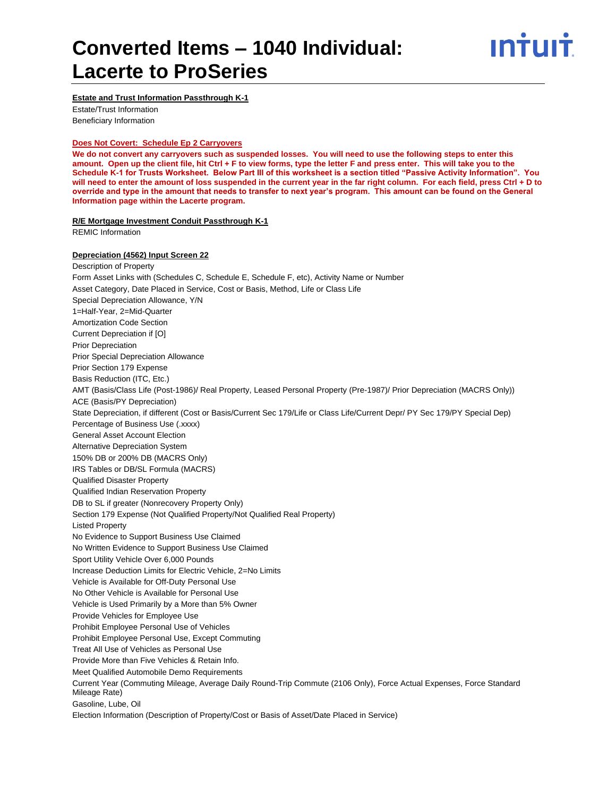# **Estate and Trust Information Passthrough K-1**

Estate/Trust Information Beneficiary Information

#### **Does Not Covert: Schedule Ep 2 Carryovers**

**We do not convert any carryovers such as suspended losses. You will need to use the following steps to enter this amount. Open up the client file, hit Ctrl + F to view forms, type the letter F and press enter. This will take you to the Schedule K-1 for Trusts Worksheet. Below Part III of this worksheet is a section titled "Passive Activity Information". You will need to enter the amount of loss suspended in the current year in the far right column. For each field, press Ctrl + D to override and type in the amount that needs to transfer to next year's program. This amount can be found on the General Information page within the Lacerte program.**

# **R/E Mortgage Investment Conduit Passthrough K-1**

REMIC Information

### **Depreciation (4562) Input Screen 22**

Description of Property Form Asset Links with (Schedules C, Schedule E, Schedule F, etc), Activity Name or Number Asset Category, Date Placed in Service, Cost or Basis, Method, Life or Class Life Special Depreciation Allowance, Y/N 1=Half-Year, 2=Mid-Quarter Amortization Code Section Current Depreciation if [O] Prior Depreciation Prior Special Depreciation Allowance Prior Section 179 Expense Basis Reduction (ITC, Etc.) AMT (Basis/Class Life (Post-1986)/ Real Property, Leased Personal Property (Pre-1987)/ Prior Depreciation (MACRS Only)) ACE (Basis/PY Depreciation) State Depreciation, if different (Cost or Basis/Current Sec 179/Life or Class Life/Current Depr/ PY Sec 179/PY Special Dep) Percentage of Business Use (.xxxx) General Asset Account Election Alternative Depreciation System 150% DB or 200% DB (MACRS Only) IRS Tables or DB/SL Formula (MACRS) Qualified Disaster Property Qualified Indian Reservation Property DB to SL if greater (Nonrecovery Property Only) Section 179 Expense (Not Qualified Property/Not Qualified Real Property) Listed Property No Evidence to Support Business Use Claimed No Written Evidence to Support Business Use Claimed Sport Utility Vehicle Over 6,000 Pounds Increase Deduction Limits for Electric Vehicle, 2=No Limits Vehicle is Available for Off-Duty Personal Use No Other Vehicle is Available for Personal Use Vehicle is Used Primarily by a More than 5% Owner Provide Vehicles for Employee Use Prohibit Employee Personal Use of Vehicles Prohibit Employee Personal Use, Except Commuting Treat All Use of Vehicles as Personal Use Provide More than Five Vehicles & Retain Info. Meet Qualified Automobile Demo Requirements Current Year (Commuting Mileage, Average Daily Round-Trip Commute (2106 Only), Force Actual Expenses, Force Standard Mileage Rate) Gasoline, Lube, Oil Election Information (Description of Property/Cost or Basis of Asset/Date Placed in Service)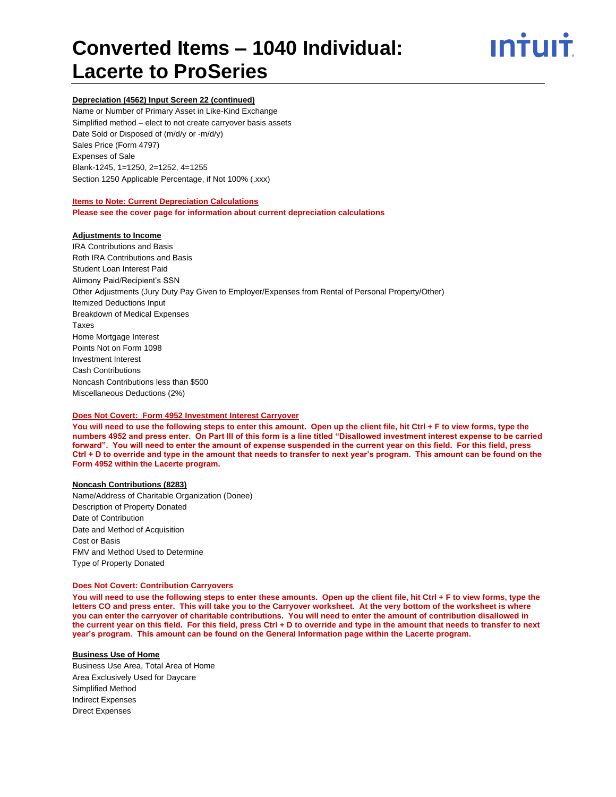

# **Depreciation (4562) Input Screen 22 (continued)**

Name or Number of Primary Asset in Like-Kind Exchange Simplified method – elect to not create carryover basis assets Date Sold or Disposed of (m/d/y or -m/d/y) Sales Price (Form 4797) Expenses of Sale Blank-1245, 1=1250, 2=1252, 4=1255 Section 1250 Applicable Percentage, if Not 100% (.xxx)

#### **Items to Note: Current Depreciation Calculations**

**Please see the cover page for information about current depreciation calculations**

#### **Adjustments to Income**

IRA Contributions and Basis Roth IRA Contributions and Basis Student Loan Interest Paid Alimony Paid/Recipient's SSN Other Adjustments (Jury Duty Pay Given to Employer/Expenses from Rental of Personal Property/Other) Itemized Deductions Input Breakdown of Medical Expenses Taxes Home Mortgage Interest Points Not on Form 1098 Investment Interest Cash Contributions Noncash Contributions less than \$500 Miscellaneous Deductions (2%)

### **Does Not Covert: Form 4952 Investment Interest Carryover**

**You will need to use the following steps to enter this amount. Open up the client file, hit Ctrl + F to view forms, type the numbers 4952 and press enter. On Part III of this form is a line titled "Disallowed investment interest expense to be carried forward". You will need to enter the amount of expense suspended in the current year on this field. For this field, press Ctrl + D to override and type in the amount that needs to transfer to next year's program. This amount can be found on the Form 4952 within the Lacerte program.**

#### **Noncash Contributions (8283)**

Name/Address of Charitable Organization (Donee) Description of Property Donated Date of Contribution Date and Method of Acquisition Cost or Basis FMV and Method Used to Determine Type of Property Donated

#### **Does Not Covert: Contribution Carryovers**

**You will need to use the following steps to enter these amounts. Open up the client file, hit Ctrl + F to view forms, type the letters CO and press enter. This will take you to the Carryover worksheet. At the very bottom of the worksheet is where you can enter the carryover of charitable contributions. You will need to enter the amount of contribution disallowed in the current year on this field. For this field, press Ctrl + D to override and type in the amount that needs to transfer to next year's program. This amount can be found on the General Information page within the Lacerte program.**

#### **Business Use of Home**

Business Use Area, Total Area of Home Area Exclusively Used for Daycare Simplified Method Indirect Expenses Direct Expenses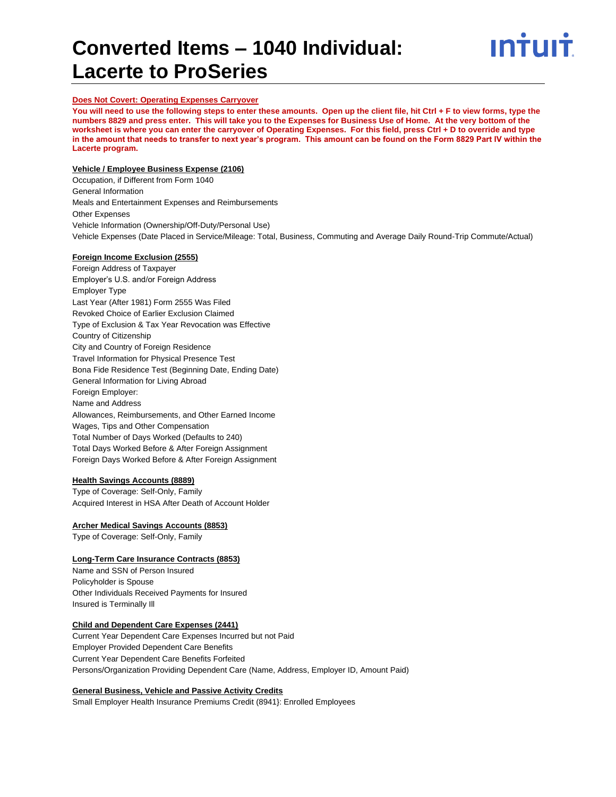

#### **Does Not Covert: Operating Expenses Carryover**

**You will need to use the following steps to enter these amounts. Open up the client file, hit Ctrl + F to view forms, type the numbers 8829 and press enter. This will take you to the Expenses for Business Use of Home. At the very bottom of the worksheet is where you can enter the carryover of Operating Expenses. For this field, press Ctrl + D to override and type in the amount that needs to transfer to next year's program. This amount can be found on the Form 8829 Part IV within the Lacerte program.**

#### **Vehicle / Employee Business Expense (2106)**

Occupation, if Different from Form 1040 General Information Meals and Entertainment Expenses and Reimbursements Other Expenses Vehicle Information (Ownership/Off-Duty/Personal Use) Vehicle Expenses (Date Placed in Service/Mileage: Total, Business, Commuting and Average Daily Round-Trip Commute/Actual)

#### **Foreign Income Exclusion (2555)**

Foreign Address of Taxpayer Employer's U.S. and/or Foreign Address Employer Type Last Year (After 1981) Form 2555 Was Filed Revoked Choice of Earlier Exclusion Claimed Type of Exclusion & Tax Year Revocation was Effective Country of Citizenship City and Country of Foreign Residence Travel Information for Physical Presence Test Bona Fide Residence Test (Beginning Date, Ending Date) General Information for Living Abroad Foreign Employer: Name and Address Allowances, Reimbursements, and Other Earned Income Wages, Tips and Other Compensation Total Number of Days Worked (Defaults to 240) Total Days Worked Before & After Foreign Assignment Foreign Days Worked Before & After Foreign Assignment

#### **Health Savings Accounts (8889)**

Type of Coverage: Self-Only, Family Acquired Interest in HSA After Death of Account Holder

#### **Archer Medical Savings Accounts (8853)**

Type of Coverage: Self-Only, Family

#### **Long-Term Care Insurance Contracts (8853)**

Name and SSN of Person Insured Policyholder is Spouse Other Individuals Received Payments for Insured Insured is Terminally Ill

#### **Child and Dependent Care Expenses (2441)**

Current Year Dependent Care Expenses Incurred but not Paid Employer Provided Dependent Care Benefits Current Year Dependent Care Benefits Forfeited Persons/Organization Providing Dependent Care (Name, Address, Employer ID, Amount Paid)

#### **General Business, Vehicle and Passive Activity Credits**

Small Employer Health Insurance Premiums Credit (8941}: Enrolled Employees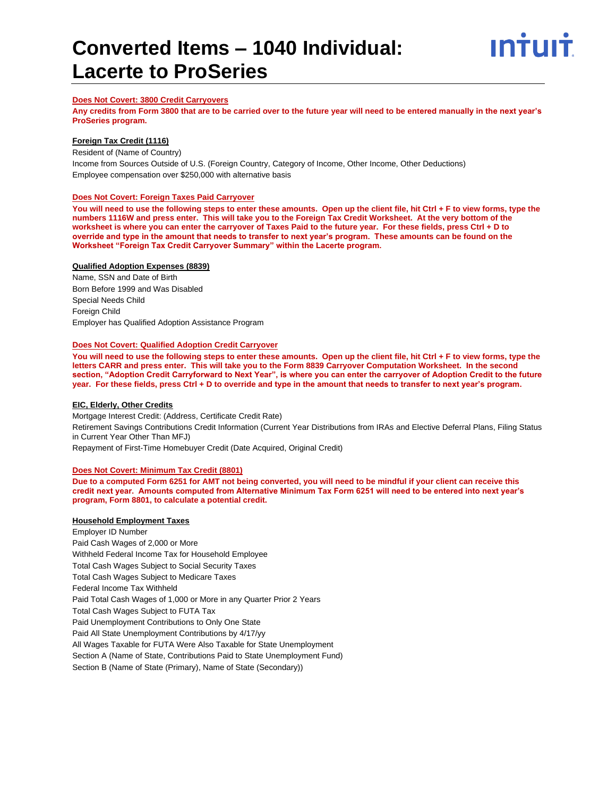

#### **Does Not Covert: 3800 Credit Carryovers**

**Any credits from Form 3800 that are to be carried over to the future year will need to be entered manually in the next year's ProSeries program.**

# **Foreign Tax Credit (1116)**

Resident of (Name of Country) Income from Sources Outside of U.S. (Foreign Country, Category of Income, Other Income, Other Deductions) Employee compensation over \$250,000 with alternative basis

#### **Does Not Covert: Foreign Taxes Paid Carryover**

**You will need to use the following steps to enter these amounts. Open up the client file, hit Ctrl + F to view forms, type the numbers 1116W and press enter. This will take you to the Foreign Tax Credit Worksheet. At the very bottom of the worksheet is where you can enter the carryover of Taxes Paid to the future year. For these fields, press Ctrl + D to override and type in the amount that needs to transfer to next year's program. These amounts can be found on the Worksheet "Foreign Tax Credit Carryover Summary" within the Lacerte program.**

#### **Qualified Adoption Expenses (8839)**

Name, SSN and Date of Birth Born Before 1999 and Was Disabled Special Needs Child Foreign Child Employer has Qualified Adoption Assistance Program

#### **Does Not Covert: Qualified Adoption Credit Carryover**

**You will need to use the following steps to enter these amounts. Open up the client file, hit Ctrl + F to view forms, type the letters CARR and press enter. This will take you to the Form 8839 Carryover Computation Worksheet. In the second section, "Adoption Credit Carryforward to Next Year", is where you can enter the carryover of Adoption Credit to the future year. For these fields, press Ctrl + D to override and type in the amount that needs to transfer to next year's program.** 

#### **EIC, Elderly, Other Credits**

Mortgage Interest Credit: (Address, Certificate Credit Rate) Retirement Savings Contributions Credit Information (Current Year Distributions from IRAs and Elective Deferral Plans, Filing Status in Current Year Other Than MFJ) Repayment of First-Time Homebuyer Credit (Date Acquired, Original Credit)

#### **Does Not Covert: Minimum Tax Credit (8801)**

**Due to a computed Form 6251 for AMT not being converted, you will need to be mindful if your client can receive this credit next year. Amounts computed from Alternative Minimum Tax Form 6251 will need to be entered into next year's program, Form 8801, to calculate a potential credit.**

#### **Household Employment Taxes**

Employer ID Number Paid Cash Wages of 2,000 or More Withheld Federal Income Tax for Household Employee Total Cash Wages Subject to Social Security Taxes Total Cash Wages Subject to Medicare Taxes Federal Income Tax Withheld Paid Total Cash Wages of 1,000 or More in any Quarter Prior 2 Years Total Cash Wages Subject to FUTA Tax Paid Unemployment Contributions to Only One State Paid All State Unemployment Contributions by 4/17/yy All Wages Taxable for FUTA Were Also Taxable for State Unemployment Section A (Name of State, Contributions Paid to State Unemployment Fund) Section B (Name of State (Primary), Name of State (Secondary))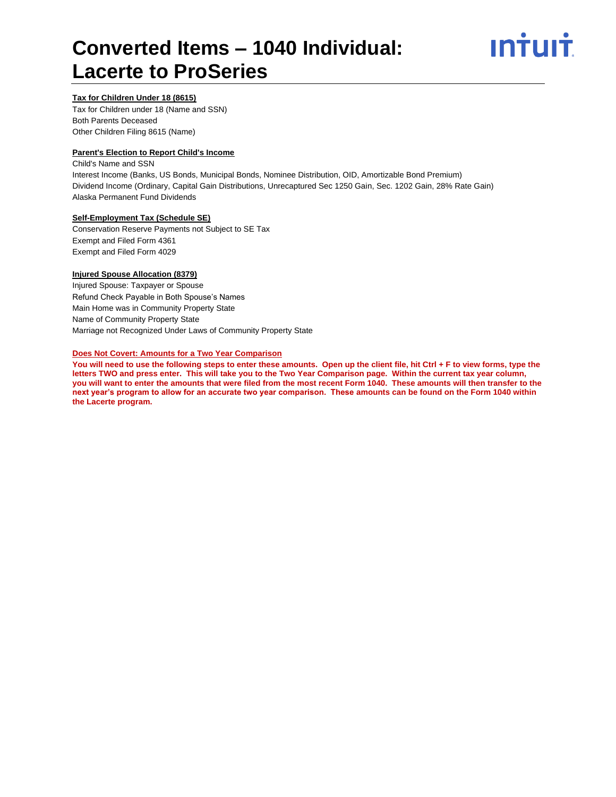

# **Tax for Children Under 18 (8615)**

Tax for Children under 18 (Name and SSN) Both Parents Deceased Other Children Filing 8615 (Name)

#### **Parent's Election to Report Child's Income**

Child's Name and SSN Interest Income (Banks, US Bonds, Municipal Bonds, Nominee Distribution, OID, Amortizable Bond Premium) Dividend Income (Ordinary, Capital Gain Distributions, Unrecaptured Sec 1250 Gain, Sec. 1202 Gain, 28% Rate Gain) Alaska Permanent Fund Dividends

### **Self-Employment Tax (Schedule SE)**

Conservation Reserve Payments not Subject to SE Tax Exempt and Filed Form 4361 Exempt and Filed Form 4029

# **Injured Spouse Allocation (8379)**

Injured Spouse: Taxpayer or Spouse Refund Check Payable in Both Spouse's Names Main Home was in Community Property State Name of Community Property State Marriage not Recognized Under Laws of Community Property State

# **Does Not Covert: Amounts for a Two Year Comparison**

**You will need to use the following steps to enter these amounts. Open up the client file, hit Ctrl + F to view forms, type the letters TWO and press enter. This will take you to the Two Year Comparison page. Within the current tax year column, you will want to enter the amounts that were filed from the most recent Form 1040. These amounts will then transfer to the next year's program to allow for an accurate two year comparison. These amounts can be found on the Form 1040 within the Lacerte program.**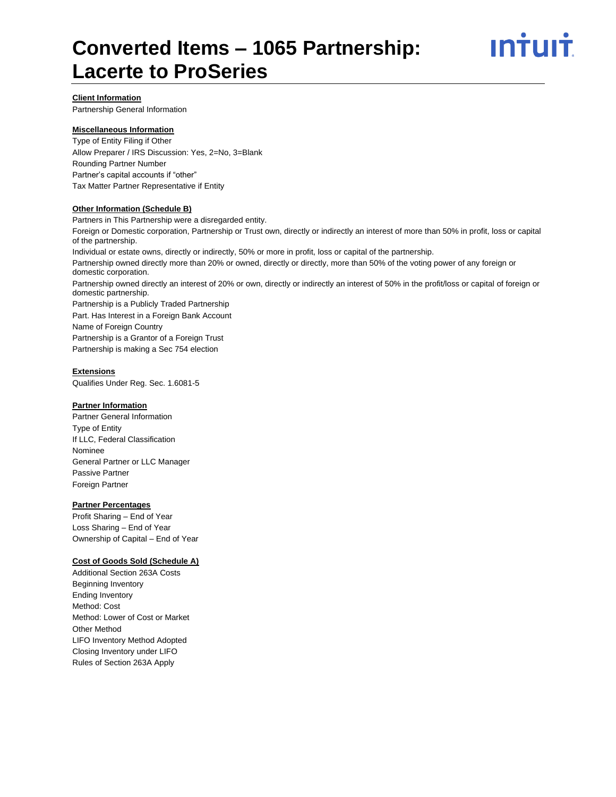

#### **Client Information**

Partnership General Information

# **Miscellaneous Information**

Type of Entity Filing if Other Allow Preparer / IRS Discussion: Yes, 2=No, 3=Blank Rounding Partner Number Partner's capital accounts if "other" Tax Matter Partner Representative if Entity

### **Other Information (Schedule B)**

Partners in This Partnership were a disregarded entity. Foreign or Domestic corporation, Partnership or Trust own, directly or indirectly an interest of more than 50% in profit, loss or capital of the partnership. Individual or estate owns, directly or indirectly, 50% or more in profit, loss or capital of the partnership. Partnership owned directly more than 20% or owned, directly or directly, more than 50% of the voting power of any foreign or domestic corporation. Partnership owned directly an interest of 20% or own, directly or indirectly an interest of 50% in the profit/loss or capital of foreign or domestic partnership. Partnership is a Publicly Traded Partnership Part. Has Interest in a Foreign Bank Account Name of Foreign Country Partnership is a Grantor of a Foreign Trust Partnership is making a Sec 754 election

# **Extensions**

Qualifies Under Reg. Sec. 1.6081-5

#### **Partner Information**

Partner General Information Type of Entity If LLC, Federal Classification Nominee General Partner or LLC Manager Passive Partner Foreign Partner

#### **Partner Percentages**

Profit Sharing – End of Year Loss Sharing – End of Year Ownership of Capital – End of Year

# **Cost of Goods Sold (Schedule A)**

Additional Section 263A Costs Beginning Inventory Ending Inventory Method: Cost Method: Lower of Cost or Market Other Method LIFO Inventory Method Adopted Closing Inventory under LIFO Rules of Section 263A Apply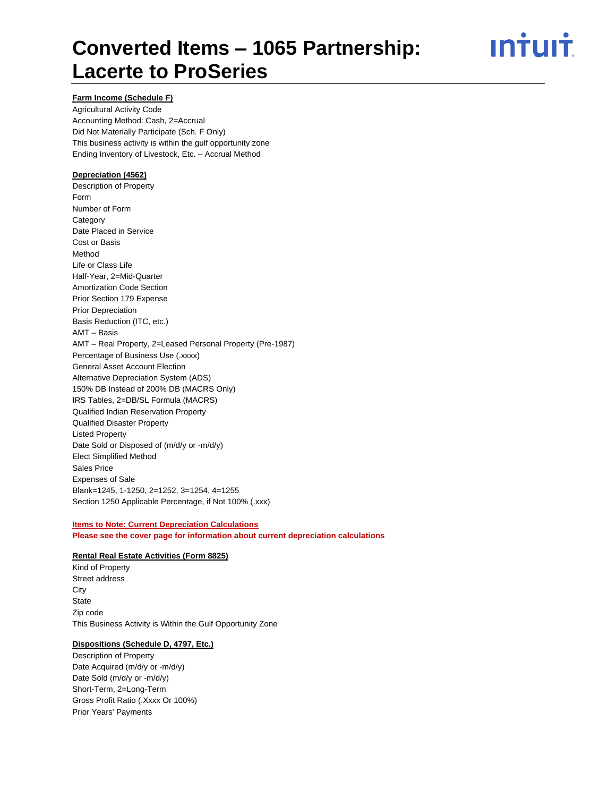# ın<del>i</del>uı<del>i</del>

# **Farm Income (Schedule F)**

Agricultural Activity Code Accounting Method: Cash, 2=Accrual Did Not Materially Participate (Sch. F Only) This business activity is within the gulf opportunity zone Ending Inventory of Livestock, Etc. – Accrual Method

# **Depreciation (4562)**

Description of Property Form Number of Form **Category** Date Placed in Service Cost or Basis Method Life or Class Life Half-Year, 2=Mid-Quarter Amortization Code Section Prior Section 179 Expense Prior Depreciation Basis Reduction (ITC, etc.) AMT – Basis AMT – Real Property, 2=Leased Personal Property (Pre-1987) Percentage of Business Use (.xxxx) General Asset Account Election Alternative Depreciation System (ADS) 150% DB Instead of 200% DB (MACRS Only) IRS Tables, 2=DB/SL Formula (MACRS) Qualified Indian Reservation Property Qualified Disaster Property Listed Property Date Sold or Disposed of (m/d/y or -m/d/y) Elect Simplified Method Sales Price Expenses of Sale Blank=1245, 1-1250, 2=1252, 3=1254, 4=1255 Section 1250 Applicable Percentage, if Not 100% (.xxx)

#### **Items to Note: Current Depreciation Calculations**

**Please see the cover page for information about current depreciation calculations**

# **Rental Real Estate Activities (Form 8825)**

Kind of Property Street address **City State** Zip code This Business Activity is Within the Gulf Opportunity Zone

# **Dispositions (Schedule D, 4797, Etc.)**

Description of Property Date Acquired (m/d/y or -m/d/y) Date Sold (m/d/y or -m/d/y) Short-Term, 2=Long-Term Gross Profit Ratio (.Xxxx Or 100%) Prior Years' Payments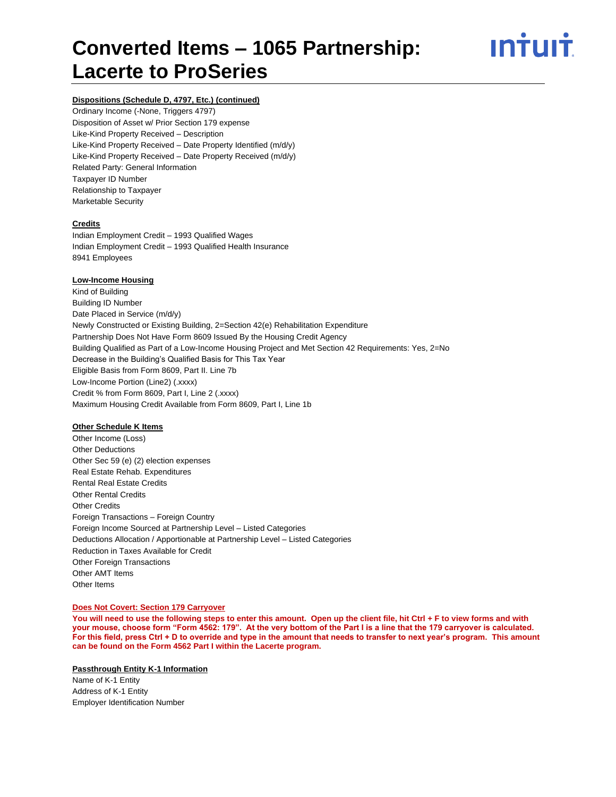

# **Dispositions (Schedule D, 4797, Etc.) (continued)**

Ordinary Income (-None, Triggers 4797) Disposition of Asset w/ Prior Section 179 expense Like-Kind Property Received – Description Like-Kind Property Received – Date Property Identified (m/d/y) Like-Kind Property Received – Date Property Received (m/d/y) Related Party: General Information Taxpayer ID Number Relationship to Taxpayer Marketable Security

#### **Credits**

Indian Employment Credit – 1993 Qualified Wages Indian Employment Credit – 1993 Qualified Health Insurance 8941 Employees

#### **Low-Income Housing**

Kind of Building Building ID Number Date Placed in Service (m/d/y) Newly Constructed or Existing Building, 2=Section 42(e) Rehabilitation Expenditure Partnership Does Not Have Form 8609 Issued By the Housing Credit Agency Building Qualified as Part of a Low-Income Housing Project and Met Section 42 Requirements: Yes, 2=No Decrease in the Building's Qualified Basis for This Tax Year Eligible Basis from Form 8609, Part II. Line 7b Low-Income Portion (Line2) (.xxxx) Credit % from Form 8609, Part I, Line 2 (.xxxx) Maximum Housing Credit Available from Form 8609, Part I, Line 1b

#### **Other Schedule K Items**

Other Income (Loss) Other Deductions Other Sec 59 (e) (2) election expenses Real Estate Rehab. Expenditures Rental Real Estate Credits Other Rental Credits Other Credits Foreign Transactions – Foreign Country Foreign Income Sourced at Partnership Level – Listed Categories Deductions Allocation / Apportionable at Partnership Level – Listed Categories Reduction in Taxes Available for Credit Other Foreign Transactions Other AMT Items Other Items

#### **Does Not Covert: Section 179 Carryover**

You will need to use the following steps to enter this amount. Open up the client file, hit Ctrl + F to view forms and with **your mouse, choose form "Form 4562: 179". At the very bottom of the Part I is a line that the 179 carryover is calculated. For this field, press Ctrl + D to override and type in the amount that needs to transfer to next year's program. This amount can be found on the Form 4562 Part I within the Lacerte program.**

**Passthrough Entity K-1 Information** Name of K-1 Entity Address of K-1 Entity Employer Identification Number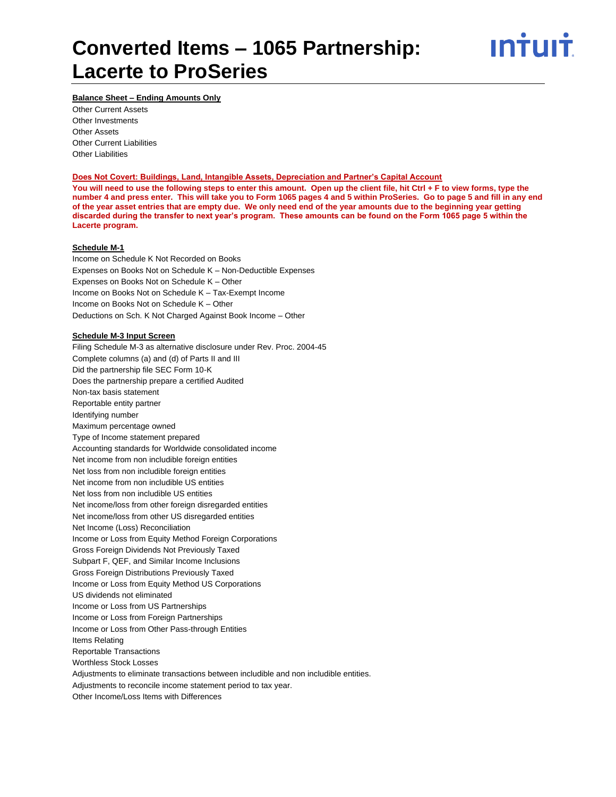

#### **Balance Sheet – Ending Amounts Only**

Other Current Assets Other Investments Other Assets Other Current Liabilities Other Liabilities

#### **Does Not Covert: Buildings, Land, Intangible Assets, Depreciation and Partner's Capital Account**

**You will need to use the following steps to enter this amount. Open up the client file, hit Ctrl + F to view forms, type the number 4 and press enter. This will take you to Form 1065 pages 4 and 5 within ProSeries. Go to page 5 and fill in any end of the year asset entries that are empty due. We only need end of the year amounts due to the beginning year getting discarded during the transfer to next year's program. These amounts can be found on the Form 1065 page 5 within the Lacerte program.**

# **Schedule M-1**

Income on Schedule K Not Recorded on Books Expenses on Books Not on Schedule K – Non-Deductible Expenses Expenses on Books Not on Schedule K – Other Income on Books Not on Schedule K – Tax-Exempt Income Income on Books Not on Schedule K – Other Deductions on Sch. K Not Charged Against Book Income – Other

#### **Schedule M-3 Input Screen**

Filing Schedule M-3 as alternative disclosure under Rev. Proc. 2004-45 Complete columns (a) and (d) of Parts II and III Did the partnership file SEC Form 10-K Does the partnership prepare a certified Audited Non-tax basis statement Reportable entity partner Identifying number Maximum percentage owned Type of Income statement prepared Accounting standards for Worldwide consolidated income Net income from non includible foreign entities Net loss from non includible foreign entities Net income from non includible US entities Net loss from non includible US entities Net income/loss from other foreign disregarded entities Net income/loss from other US disregarded entities Net Income (Loss) Reconciliation Income or Loss from Equity Method Foreign Corporations Gross Foreign Dividends Not Previously Taxed Subpart F, QEF, and Similar Income Inclusions Gross Foreign Distributions Previously Taxed Income or Loss from Equity Method US Corporations US dividends not eliminated Income or Loss from US Partnerships Income or Loss from Foreign Partnerships Income or Loss from Other Pass-through Entities Items Relating Reportable Transactions Worthless Stock Losses Adjustments to eliminate transactions between includible and non includible entities. Adjustments to reconcile income statement period to tax year.

Other Income/Loss Items with Differences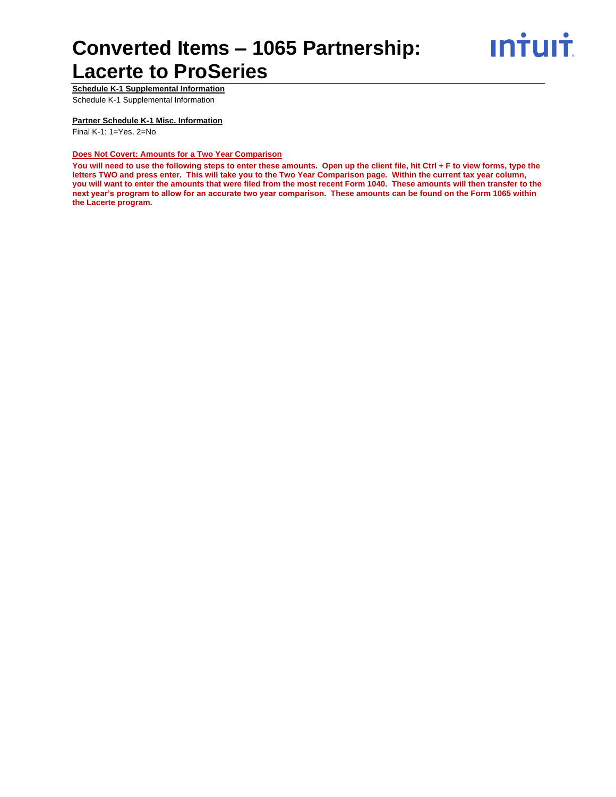

**Schedule K-1 Supplemental Information**

Schedule K-1 Supplemental Information

# **Partner Schedule K-1 Misc. Information**

Final K-1: 1=Yes, 2=No

### **Does Not Covert: Amounts for a Two Year Comparison**

**You will need to use the following steps to enter these amounts. Open up the client file, hit Ctrl + F to view forms, type the letters TWO and press enter. This will take you to the Two Year Comparison page. Within the current tax year column, you will want to enter the amounts that were filed from the most recent Form 1040. These amounts will then transfer to the next year's program to allow for an accurate two year comparison. These amounts can be found on the Form 1065 within the Lacerte program.**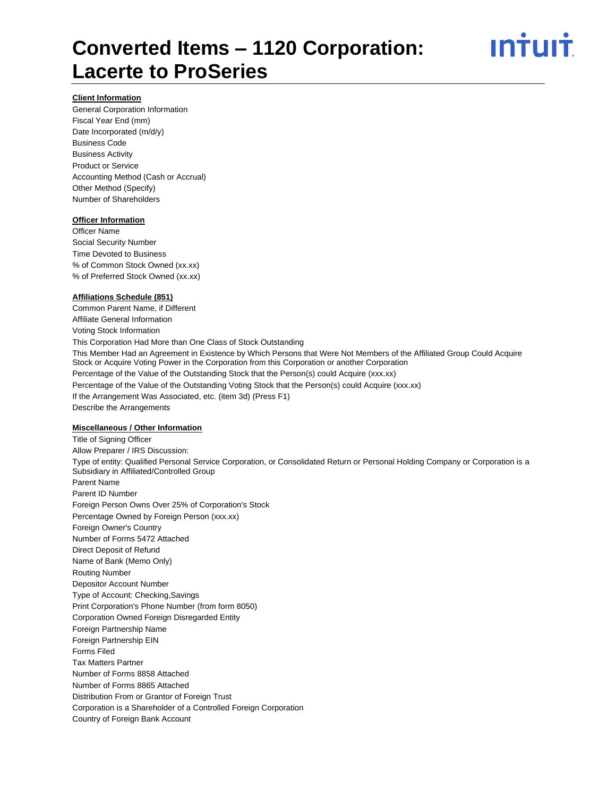

#### **Client Information**

General Corporation Information Fiscal Year End (mm) Date Incorporated (m/d/y) Business Code Business Activity Product or Service Accounting Method (Cash or Accrual) Other Method (Specify) Number of Shareholders

#### **Officer Information**

Officer Name Social Security Number Time Devoted to Business % of Common Stock Owned (xx.xx) % of Preferred Stock Owned (xx.xx)

# **Affiliations Schedule (851)**

Common Parent Name, if Different Affiliate General Information Voting Stock Information This Corporation Had More than One Class of Stock Outstanding This Member Had an Agreement in Existence by Which Persons that Were Not Members of the Affiliated Group Could Acquire Stock or Acquire Voting Power in the Corporation from this Corporation or another Corporation Percentage of the Value of the Outstanding Stock that the Person(s) could Acquire (xxx.xx) Percentage of the Value of the Outstanding Voting Stock that the Person(s) could Acquire (xxx.xx) If the Arrangement Was Associated, etc. (item 3d) (Press F1) Describe the Arrangements

#### **Miscellaneous / Other Information**

Title of Signing Officer Allow Preparer / IRS Discussion: Type of entity: Qualified Personal Service Corporation, or Consolidated Return or Personal Holding Company or Corporation is a Subsidiary in Affiliated/Controlled Group Parent Name Parent ID Number Foreign Person Owns Over 25% of Corporation's Stock Percentage Owned by Foreign Person (xxx.xx) Foreign Owner's Country Number of Forms 5472 Attached Direct Deposit of Refund Name of Bank (Memo Only) Routing Number Depositor Account Number Type of Account: Checking,Savings Print Corporation's Phone Number (from form 8050) Corporation Owned Foreign Disregarded Entity Foreign Partnership Name Foreign Partnership EIN Forms Filed Tax Matters Partner Number of Forms 8858 Attached Number of Forms 8865 Attached Distribution From or Grantor of Foreign Trust Corporation is a Shareholder of a Controlled Foreign Corporation Country of Foreign Bank Account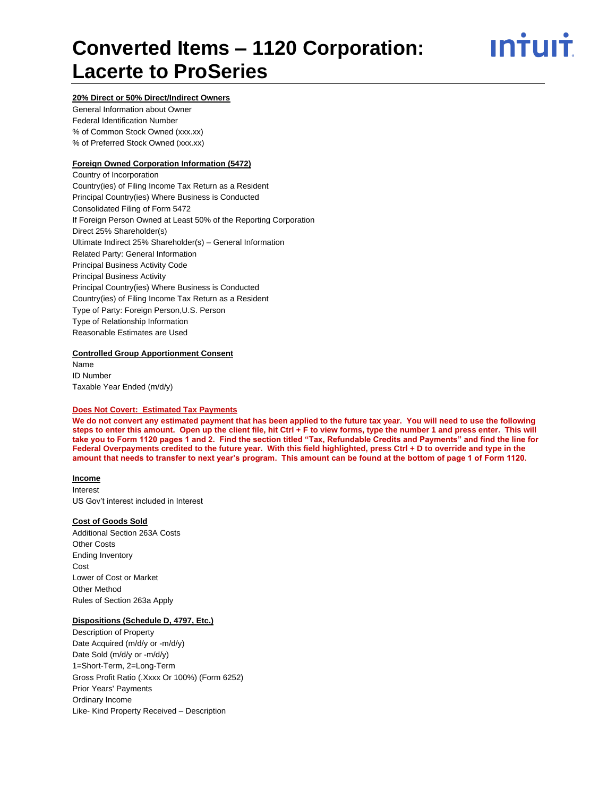

# **20% Direct or 50% Direct/Indirect Owners**

General Information about Owner Federal Identification Number % of Common Stock Owned (xxx.xx) % of Preferred Stock Owned (xxx.xx)

### **Foreign Owned Corporation Information (5472)**

Country of Incorporation Country(ies) of Filing Income Tax Return as a Resident Principal Country(ies) Where Business is Conducted Consolidated Filing of Form 5472 If Foreign Person Owned at Least 50% of the Reporting Corporation Direct 25% Shareholder(s) Ultimate Indirect 25% Shareholder(s) – General Information Related Party: General Information Principal Business Activity Code Principal Business Activity Principal Country(ies) Where Business is Conducted Country(ies) of Filing Income Tax Return as a Resident Type of Party: Foreign Person,U.S. Person Type of Relationship Information Reasonable Estimates are Used

### **Controlled Group Apportionment Consent**

Name ID Number Taxable Year Ended (m/d/y)

#### **Does Not Covert: Estimated Tax Payments**

**We do not convert any estimated payment that has been applied to the future tax year. You will need to use the following steps to enter this amount. Open up the client file, hit Ctrl + F to view forms, type the number 1 and press enter. This will take you to Form 1120 pages 1 and 2. Find the section titled "Tax, Refundable Credits and Payments" and find the line for Federal Overpayments credited to the future year. With this field highlighted, press Ctrl + D to override and type in the amount that needs to transfer to next year's program. This amount can be found at the bottom of page 1 of Form 1120.**

#### **Income**

Interest US Gov't interest included in Interest

#### **Cost of Goods Sold**

Additional Section 263A Costs Other Costs Ending Inventory Cost Lower of Cost or Market Other Method Rules of Section 263a Apply

# **Dispositions (Schedule D, 4797, Etc.)**

Description of Property Date Acquired (m/d/y or -m/d/y) Date Sold (m/d/y or -m/d/y) 1=Short-Term, 2=Long-Term Gross Profit Ratio (.Xxxx Or 100%) (Form 6252) Prior Years' Payments Ordinary Income Like- Kind Property Received – Description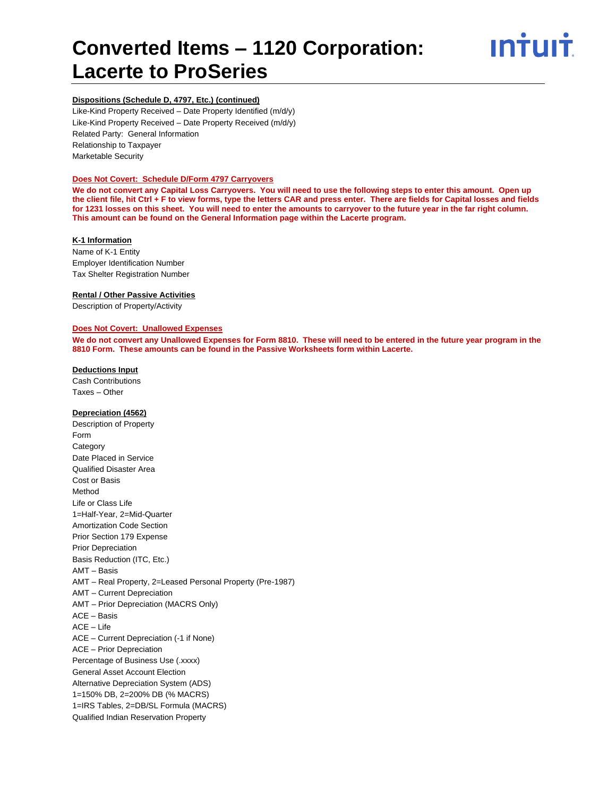

# **Dispositions (Schedule D, 4797, Etc.) (continued)**

Like-Kind Property Received – Date Property Identified (m/d/y) Like-Kind Property Received – Date Property Received (m/d/y) Related Party: General Information Relationship to Taxpayer Marketable Security

# **Does Not Covert: Schedule D/Form 4797 Carryovers**

**We do not convert any Capital Loss Carryovers. You will need to use the following steps to enter this amount. Open up the client file, hit Ctrl + F to view forms, type the letters CAR and press enter. There are fields for Capital losses and fields for 1231 losses on this sheet. You will need to enter the amounts to carryover to the future year in the far right column. This amount can be found on the General Information page within the Lacerte program.**

#### **K-1 Information**

Name of K-1 Entity Employer Identification Number Tax Shelter Registration Number

#### **Rental / Other Passive Activities**

Description of Property/Activity

#### **Does Not Covert: Unallowed Expenses**

**We do not convert any Unallowed Expenses for Form 8810. These will need to be entered in the future year program in the 8810 Form. These amounts can be found in the Passive Worksheets form within Lacerte.**

#### **Deductions Input**

Cash Contributions Taxes – Other

#### **Depreciation (4562)**

Description of Property Form **Category** Date Placed in Service Qualified Disaster Area Cost or Basis Method Life or Class Life 1=Half-Year, 2=Mid-Quarter Amortization Code Section Prior Section 179 Expense Prior Depreciation Basis Reduction (ITC, Etc.) AMT – Basis AMT – Real Property, 2=Leased Personal Property (Pre-1987) AMT – Current Depreciation AMT – Prior Depreciation (MACRS Only) ACE – Basis ACE – Life ACE – Current Depreciation (-1 if None) ACE – Prior Depreciation Percentage of Business Use (.xxxx) General Asset Account Election Alternative Depreciation System (ADS) 1=150% DB, 2=200% DB (% MACRS) 1=IRS Tables, 2=DB/SL Formula (MACRS) Qualified Indian Reservation Property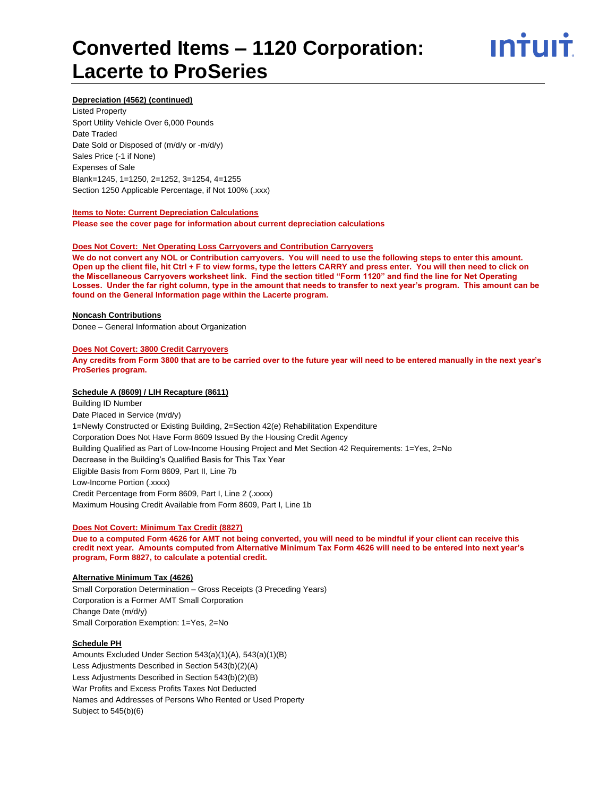

#### **Depreciation (4562) (continued)**

Listed Property Sport Utility Vehicle Over 6,000 Pounds Date Traded Date Sold or Disposed of (m/d/y or -m/d/y) Sales Price (-1 if None) Expenses of Sale Blank=1245, 1=1250, 2=1252, 3=1254, 4=1255 Section 1250 Applicable Percentage, if Not 100% (.xxx)

#### **Items to Note: Current Depreciation Calculations**

**Please see the cover page for information about current depreciation calculations**

#### **Does Not Covert: Net Operating Loss Carryovers and Contribution Carryovers**

**We do not convert any NOL or Contribution carryovers. You will need to use the following steps to enter this amount. Open up the client file, hit Ctrl + F to view forms, type the letters CARRY and press enter. You will then need to click on the Miscellaneous Carryovers worksheet link. Find the section titled "Form 1120" and find the line for Net Operating Losses. Under the far right column, type in the amount that needs to transfer to next year's program. This amount can be found on the General Information page within the Lacerte program.**

#### **Noncash Contributions**

Donee – General Information about Organization

#### **Does Not Covert: 3800 Credit Carryovers**

**Any credits from Form 3800 that are to be carried over to the future year will need to be entered manually in the next year's ProSeries program.**

#### **Schedule A (8609) / LIH Recapture (8611)**

Building ID Number Date Placed in Service (m/d/y) 1=Newly Constructed or Existing Building, 2=Section 42(e) Rehabilitation Expenditure Corporation Does Not Have Form 8609 Issued By the Housing Credit Agency Building Qualified as Part of Low-Income Housing Project and Met Section 42 Requirements: 1=Yes, 2=No Decrease in the Building's Qualified Basis for This Tax Year Eligible Basis from Form 8609, Part II, Line 7b Low-Income Portion (.xxxx) Credit Percentage from Form 8609, Part I, Line 2 (.xxxx) Maximum Housing Credit Available from Form 8609, Part I, Line 1b

#### **Does Not Covert: Minimum Tax Credit (8827)**

**Due to a computed Form 4626 for AMT not being converted, you will need to be mindful if your client can receive this credit next year. Amounts computed from Alternative Minimum Tax Form 4626 will need to be entered into next year's program, Form 8827, to calculate a potential credit.**

# **Alternative Minimum Tax (4626)**

Small Corporation Determination – Gross Receipts (3 Preceding Years) Corporation is a Former AMT Small Corporation Change Date (m/d/y) Small Corporation Exemption: 1=Yes, 2=No

### **Schedule PH**

Amounts Excluded Under Section 543(a)(1)(A), 543(a)(1)(B) Less Adjustments Described in Section 543(b)(2)(A) Less Adjustments Described in Section 543(b)(2)(B) War Profits and Excess Profits Taxes Not Deducted Names and Addresses of Persons Who Rented or Used Property Subject to 545(b)(6)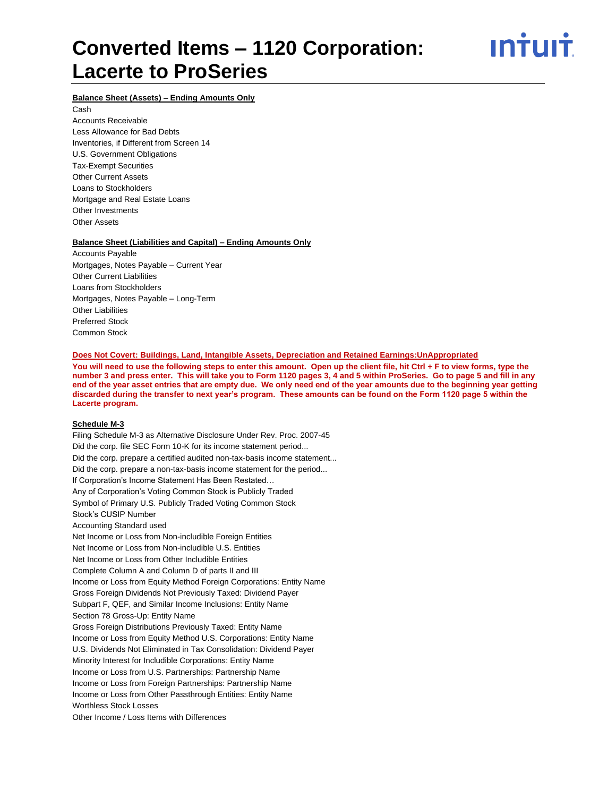

#### **Balance Sheet (Assets) – Ending Amounts Only**

Cash

Accounts Receivable Less Allowance for Bad Debts Inventories, if Different from Screen 14 U.S. Government Obligations Tax-Exempt Securities Other Current Assets Loans to Stockholders Mortgage and Real Estate Loans Other Investments Other Assets

### **Balance Sheet (Liabilities and Capital) – Ending Amounts Only**

Accounts Payable Mortgages, Notes Payable – Current Year Other Current Liabilities Loans from Stockholders Mortgages, Notes Payable – Long-Term Other Liabilities Preferred Stock Common Stock

#### **Does Not Covert: Buildings, Land, Intangible Assets, Depreciation and Retained Earnings:UnAppropriated**

**You will need to use the following steps to enter this amount. Open up the client file, hit Ctrl + F to view forms, type the number 3 and press enter. This will take you to Form 1120 pages 3, 4 and 5 within ProSeries. Go to page 5 and fill in any end of the year asset entries that are empty due. We only need end of the year amounts due to the beginning year getting discarded during the transfer to next year's program. These amounts can be found on the Form 1120 page 5 within the Lacerte program.**

#### **Schedule M-3**

Filing Schedule M-3 as Alternative Disclosure Under Rev. Proc. 2007-45 Did the corp. file SEC Form 10-K for its income statement period... Did the corp. prepare a certified audited non-tax-basis income statement... Did the corp. prepare a non-tax-basis income statement for the period... If Corporation's Income Statement Has Been Restated… Any of Corporation's Voting Common Stock is Publicly Traded Symbol of Primary U.S. Publicly Traded Voting Common Stock Stock's CUSIP Number Accounting Standard used Net Income or Loss from Non-includible Foreign Entities Net Income or Loss from Non-includible U.S. Entities Net Income or Loss from Other Includible Entities Complete Column A and Column D of parts II and III Income or Loss from Equity Method Foreign Corporations: Entity Name Gross Foreign Dividends Not Previously Taxed: Dividend Payer Subpart F, QEF, and Similar Income Inclusions: Entity Name Section 78 Gross-Up: Entity Name Gross Foreign Distributions Previously Taxed: Entity Name Income or Loss from Equity Method U.S. Corporations: Entity Name U.S. Dividends Not Eliminated in Tax Consolidation: Dividend Payer Minority Interest for Includible Corporations: Entity Name Income or Loss from U.S. Partnerships: Partnership Name Income or Loss from Foreign Partnerships: Partnership Name Income or Loss from Other Passthrough Entities: Entity Name Worthless Stock Losses Other Income / Loss Items with Differences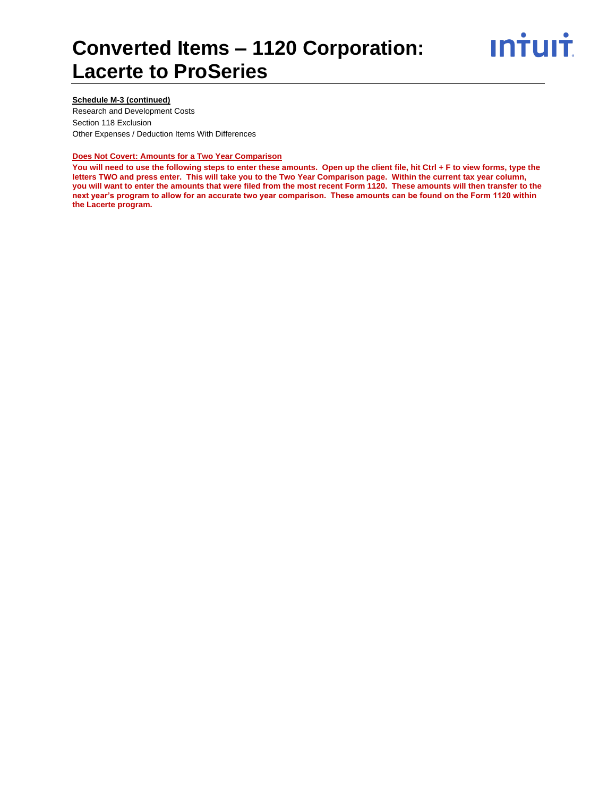

# **Schedule M-3 (continued)**

Research and Development Costs Section 118 Exclusion Other Expenses / Deduction Items With Differences

#### **Does Not Covert: Amounts for a Two Year Comparison**

**You will need to use the following steps to enter these amounts. Open up the client file, hit Ctrl + F to view forms, type the letters TWO and press enter. This will take you to the Two Year Comparison page. Within the current tax year column, you will want to enter the amounts that were filed from the most recent Form 1120. These amounts will then transfer to the next year's program to allow for an accurate two year comparison. These amounts can be found on the Form 1120 within the Lacerte program.**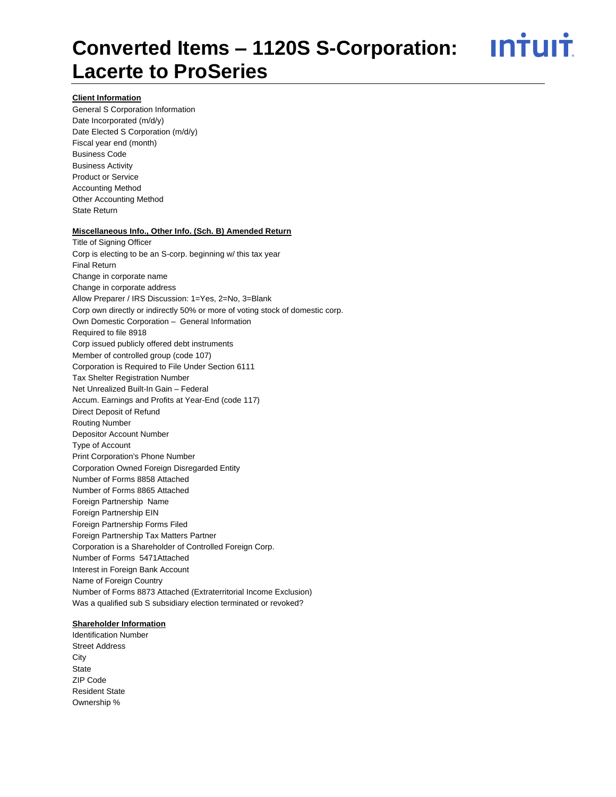<u>**Intuit**</u>

### **Client Information**

General S Corporation Information Date Incorporated (m/d/y) Date Elected S Corporation (m/d/y) Fiscal year end (month) Business Code Business Activity Product or Service Accounting Method Other Accounting Method State Return

# **Miscellaneous Info., Other Info. (Sch. B) Amended Return**

Title of Signing Officer Corp is electing to be an S-corp. beginning w/ this tax year Final Return Change in corporate name Change in corporate address Allow Preparer / IRS Discussion: 1=Yes, 2=No, 3=Blank Corp own directly or indirectly 50% or more of voting stock of domestic corp. Own Domestic Corporation – General Information Required to file 8918 Corp issued publicly offered debt instruments Member of controlled group (code 107) Corporation is Required to File Under Section 6111 Tax Shelter Registration Number Net Unrealized Built-In Gain – Federal Accum. Earnings and Profits at Year-End (code 117) Direct Deposit of Refund Routing Number Depositor Account Number Type of Account Print Corporation's Phone Number Corporation Owned Foreign Disregarded Entity Number of Forms 8858 Attached Number of Forms 8865 Attached Foreign Partnership Name Foreign Partnership EIN Foreign Partnership Forms Filed Foreign Partnership Tax Matters Partner Corporation is a Shareholder of Controlled Foreign Corp. Number of Forms 5471Attached Interest in Foreign Bank Account Name of Foreign Country Number of Forms 8873 Attached (Extraterritorial Income Exclusion) Was a qualified sub S subsidiary election terminated or revoked?

#### **Shareholder Information**

Identification Number Street Address **City** State ZIP Code Resident State Ownership %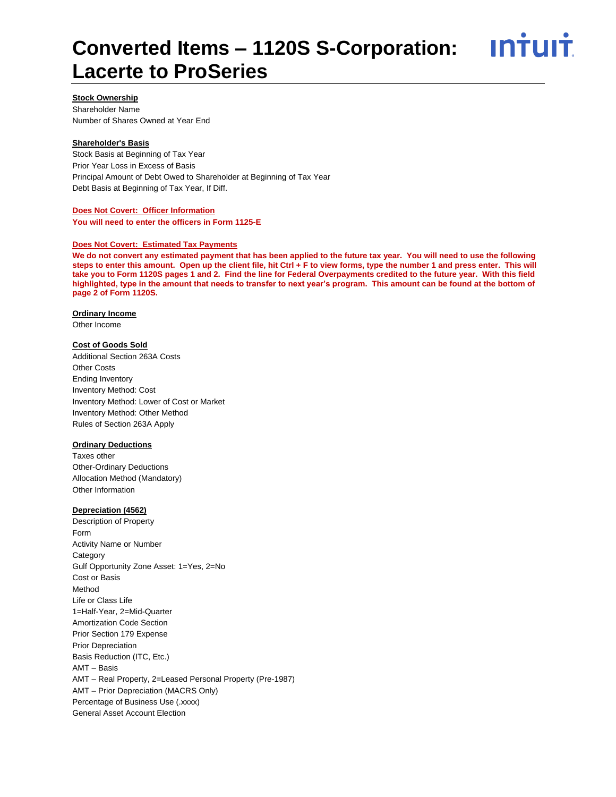<u>**INTUIT**</u>

# **Stock Ownership**

Shareholder Name Number of Shares Owned at Year End

#### **Shareholder's Basis**

Stock Basis at Beginning of Tax Year Prior Year Loss in Excess of Basis Principal Amount of Debt Owed to Shareholder at Beginning of Tax Year Debt Basis at Beginning of Tax Year, If Diff.

**Does Not Covert: Officer Information You will need to enter the officers in Form 1125-E**

#### **Does Not Covert: Estimated Tax Payments**

**We do not convert any estimated payment that has been applied to the future tax year. You will need to use the following steps to enter this amount. Open up the client file, hit Ctrl + F to view forms, type the number 1 and press enter. This will take you to Form 1120S pages 1 and 2. Find the line for Federal Overpayments credited to the future year. With this field highlighted, type in the amount that needs to transfer to next year's program. This amount can be found at the bottom of page 2 of Form 1120S.**

#### **Ordinary Income**

Other Income

#### **Cost of Goods Sold**

Additional Section 263A Costs Other Costs Ending Inventory Inventory Method: Cost Inventory Method: Lower of Cost or Market Inventory Method: Other Method Rules of Section 263A Apply

#### **Ordinary Deductions**

Taxes other Other-Ordinary Deductions Allocation Method (Mandatory) Other Information

#### **Depreciation (4562)**

Description of Property Form Activity Name or Number **Category** Gulf Opportunity Zone Asset: 1=Yes, 2=No Cost or Basis Method Life or Class Life 1=Half-Year, 2=Mid-Quarter Amortization Code Section Prior Section 179 Expense Prior Depreciation Basis Reduction (ITC, Etc.) AMT – Basis AMT – Real Property, 2=Leased Personal Property (Pre-1987) AMT – Prior Depreciation (MACRS Only) Percentage of Business Use (.xxxx) General Asset Account Election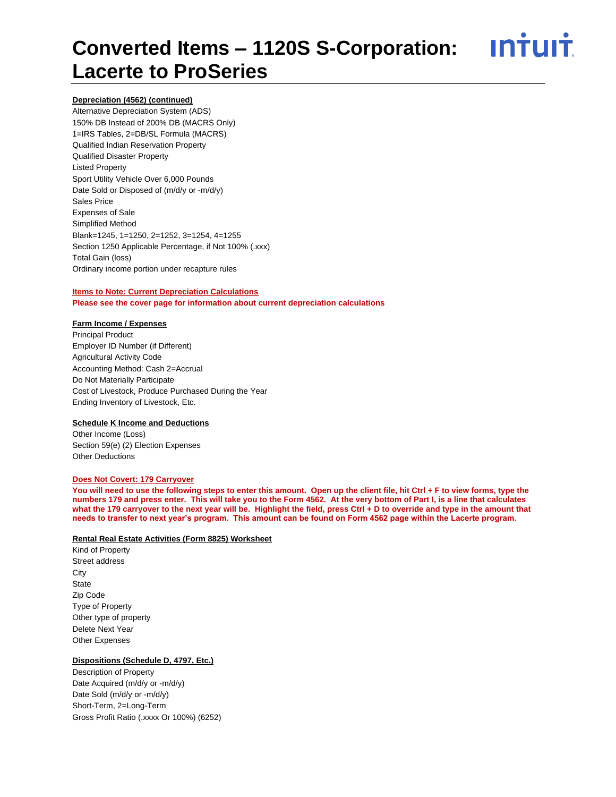<u>**INTUIT**</u>

# **Depreciation (4562) (continued)**

Alternative Depreciation System (ADS) 150% DB Instead of 200% DB (MACRS Only) 1=IRS Tables, 2=DB/SL Formula (MACRS) Qualified Indian Reservation Property Qualified Disaster Property Listed Property Sport Utility Vehicle Over 6,000 Pounds Date Sold or Disposed of (m/d/y or -m/d/y) Sales Price Expenses of Sale Simplified Method Blank=1245, 1=1250, 2=1252, 3=1254, 4=1255 Section 1250 Applicable Percentage, if Not 100% (.xxx) Total Gain (loss) Ordinary income portion under recapture rules

#### **Items to Note: Current Depreciation Calculations Please see the cover page for information about current depreciation calculations**

#### **Farm Income / Expenses**

Principal Product Employer ID Number (if Different) Agricultural Activity Code Accounting Method: Cash 2=Accrual Do Not Materially Participate Cost of Livestock, Produce Purchased During the Year Ending Inventory of Livestock, Etc.

#### **Schedule K Income and Deductions**

Other Income (Loss) Section 59(e) (2) Election Expenses Other Deductions

#### **Does Not Covert: 179 Carryover**

**You will need to use the following steps to enter this amount. Open up the client file, hit Ctrl + F to view forms, type the numbers 179 and press enter. This will take you to the Form 4562. At the very bottom of Part I, is a line that calculates what the 179 carryover to the next year will be. Highlight the field, press Ctrl + D to override and type in the amount that needs to transfer to next year's program. This amount can be found on Form 4562 page within the Lacerte program.**

#### **Rental Real Estate Activities (Form 8825) Worksheet**

Kind of Property Street address **City State** Zip Code Type of Property Other type of property Delete Next Year Other Expenses

#### **Dispositions (Schedule D, 4797, Etc.)**

Description of Property Date Acquired (m/d/y or -m/d/y) Date Sold (m/d/y or -m/d/y) Short-Term, 2=Long-Term Gross Profit Ratio (.xxxx Or 100%) (6252)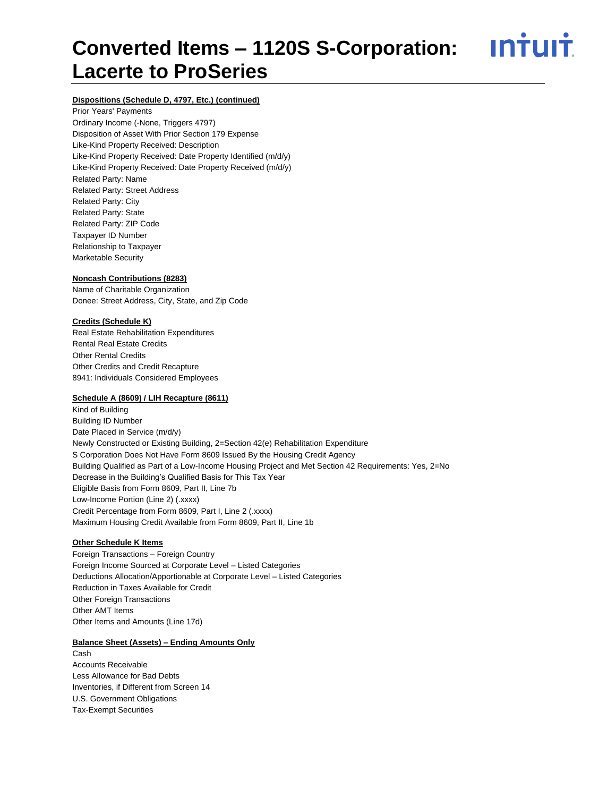<u>ıntuıt</u>

# **Dispositions (Schedule D, 4797, Etc.) (continued)**

Prior Years' Payments Ordinary Income (-None, Triggers 4797) Disposition of Asset With Prior Section 179 Expense Like-Kind Property Received: Description Like-Kind Property Received: Date Property Identified (m/d/y) Like-Kind Property Received: Date Property Received (m/d/y) Related Party: Name Related Party: Street Address Related Party: City Related Party: State Related Party: ZIP Code Taxpayer ID Number Relationship to Taxpayer Marketable Security

### **Noncash Contributions (8283)**

Name of Charitable Organization Donee: Street Address, City, State, and Zip Code

#### **Credits (Schedule K)**

Real Estate Rehabilitation Expenditures Rental Real Estate Credits Other Rental Credits Other Credits and Credit Recapture 8941: Individuals Considered Employees

#### **Schedule A (8609) / LIH Recapture (8611)**

Kind of Building Building ID Number Date Placed in Service (m/d/y) Newly Constructed or Existing Building, 2=Section 42(e) Rehabilitation Expenditure S Corporation Does Not Have Form 8609 Issued By the Housing Credit Agency Building Qualified as Part of a Low-Income Housing Project and Met Section 42 Requirements: Yes, 2=No Decrease in the Building's Qualified Basis for This Tax Year Eligible Basis from Form 8609, Part II, Line 7b Low-Income Portion (Line 2) (.xxxx) Credit Percentage from Form 8609, Part I, Line 2 (.xxxx) Maximum Housing Credit Available from Form 8609, Part II, Line 1b

# **Other Schedule K Items**

Foreign Transactions – Foreign Country Foreign Income Sourced at Corporate Level – Listed Categories Deductions Allocation/Apportionable at Corporate Level – Listed Categories Reduction in Taxes Available for Credit Other Foreign Transactions Other AMT Items Other Items and Amounts (Line 17d)

#### **Balance Sheet (Assets) – Ending Amounts Only**

Cash Accounts Receivable Less Allowance for Bad Debts Inventories, if Different from Screen 14 U.S. Government Obligations Tax-Exempt Securities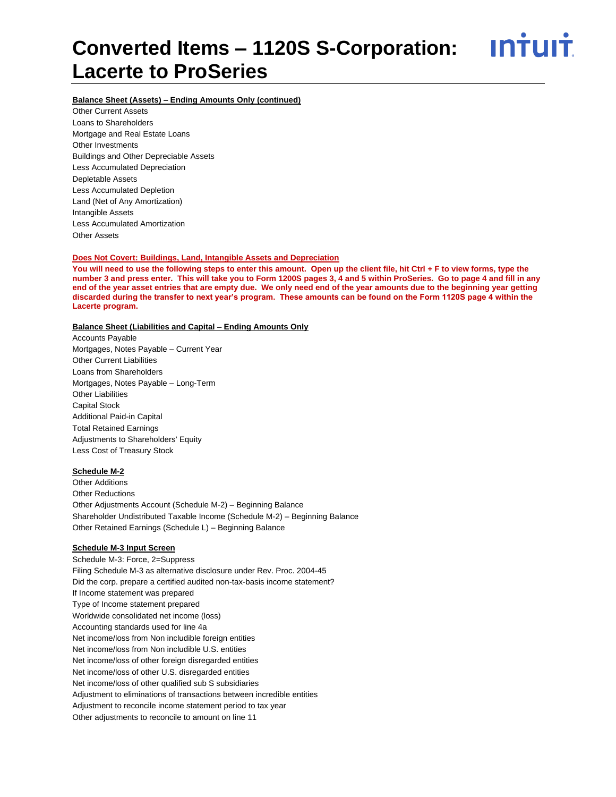<u>ıntuıt</u>

#### **Balance Sheet (Assets) – Ending Amounts Only (continued)**

Other Current Assets Loans to Shareholders Mortgage and Real Estate Loans Other Investments Buildings and Other Depreciable Assets Less Accumulated Depreciation Depletable Assets Less Accumulated Depletion Land (Net of Any Amortization) Intangible Assets Less Accumulated Amortization Other Assets

#### **Does Not Covert: Buildings, Land, Intangible Assets and Depreciation**

**You will need to use the following steps to enter this amount. Open up the client file, hit Ctrl + F to view forms, type the number 3 and press enter. This will take you to Form 1200S pages 3, 4 and 5 within ProSeries. Go to page 4 and fill in any end of the year asset entries that are empty due. We only need end of the year amounts due to the beginning year getting discarded during the transfer to next year's program. These amounts can be found on the Form 1120S page 4 within the Lacerte program.**

#### **Balance Sheet (Liabilities and Capital – Ending Amounts Only**

Accounts Payable Mortgages, Notes Payable – Current Year Other Current Liabilities Loans from Shareholders Mortgages, Notes Payable – Long-Term Other Liabilities Capital Stock Additional Paid-in Capital Total Retained Earnings Adjustments to Shareholders' Equity Less Cost of Treasury Stock

# **Schedule M-2**

Other Additions Other Reductions Other Adjustments Account (Schedule M-2) – Beginning Balance Shareholder Undistributed Taxable Income (Schedule M-2) – Beginning Balance Other Retained Earnings (Schedule L) – Beginning Balance

#### **Schedule M-3 Input Screen**

Schedule M-3: Force, 2=Suppress Filing Schedule M-3 as alternative disclosure under Rev. Proc. 2004-45 Did the corp. prepare a certified audited non-tax-basis income statement? If Income statement was prepared Type of Income statement prepared Worldwide consolidated net income (loss) Accounting standards used for line 4a Net income/loss from Non includible foreign entities Net income/loss from Non includible U.S. entities Net income/loss of other foreign disregarded entities Net income/loss of other U.S. disregarded entities Net income/loss of other qualified sub S subsidiaries Adjustment to eliminations of transactions between incredible entities Adjustment to reconcile income statement period to tax year Other adjustments to reconcile to amount on line 11